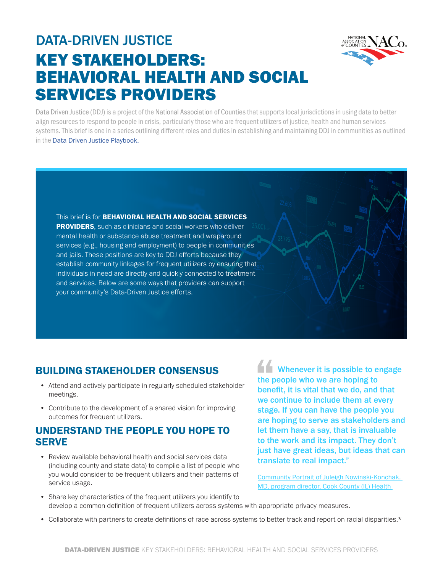

# DATA-DRIVEN JUSTICE KEY STAKEHOLDERS: BEHAVIORAL HEALTH AND SOCIAL SERVICES PROVIDERS

Data Driven Justice (DDJ) is a project of the National Association of Counties that supports local jurisdictions in using data to better align resources to respond to people in crisis, particularly those who are frequent utilizers of justice, health and human services systems. This brief is one in a series outlining different roles and duties in establishing and maintaining DDJ in communities as outlined in the [Data Driven Justice Playbook.](https://craftmediabucket.s3.amazonaws.com/uploads/DDJPlaybook.pdf)

This brief is for **BEHAVIORAL HEALTH AND SOCIAL SERVICES PROVIDERS**, such as clinicians and social workers who deliver mental health or substance abuse treatment and wraparound services (e.g., housing and employment) to people in communities and jails. These positions are key to DDJ efforts because they establish community linkages for frequent utilizers by ensuring that individuals in need are directly and quickly connected to treatment and services. Below are some ways that providers can support your community's Data-Driven Justice efforts.

## BUILDING STAKEHOLDER CONSENSUS

- Attend and actively participate in regularly scheduled stakeholder meetings.
- Contribute to the development of a shared vision for improving outcomes for frequent utilizers.

#### UNDERSTAND THE PEOPLE YOU HOPE TO **SERVE**

• Review available behavioral health and social services data (including county and state data) to compile a list of people who you would consider to be frequent utilizers and their patterns of service usage.

**THE Whenever it is possible to engage** the people who we are hoping to benefit, it is vital that we do, and that we continue to include them at every stage. If you can have the people you are hoping to serve as stakeholders and let them have a say, that is invaluable to the work and its impact. They don't just have great ideas, but ideas that can translate to real impact."

[Community Portrait of Juleigh Nowinski-Konchak,](https://www.naco.org/blog/data-driven-justice-community-portrait-dr-juleigh-nowinski-konchak)  [MD, program director, Cook County \(IL\) Health](https://www.naco.org/blog/data-driven-justice-community-portrait-dr-juleigh-nowinski-konchak) 

- Share key characteristics of the frequent utilizers you identify to develop a common definition of frequent utilizers across systems with appropriate privacy measures.
- Collaborate with partners to create definitions of race across systems to better track and report on racial disparities.\*